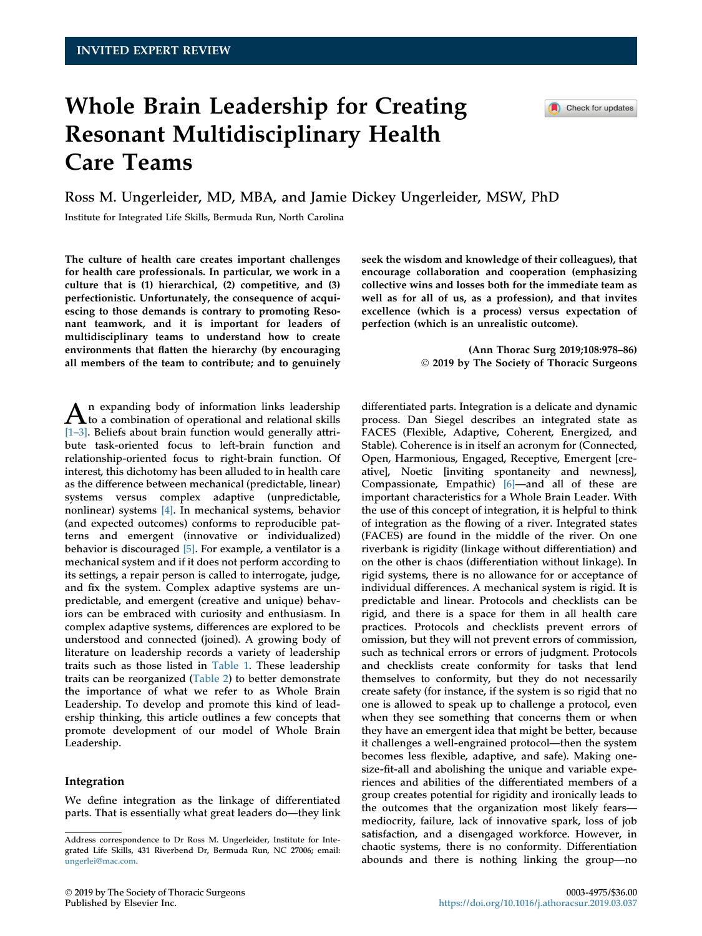# Whole Brain Leadership for Creating Resonant Multidisciplinary Health Care Teams

Ross M. Ungerleider, MD, MBA, and Jamie Dickey Ungerleider, MSW, PhD

Institute for Integrated Life Skills, Bermuda Run, North Carolina

The culture of health care creates important challenges for health care professionals. In particular, we work in a culture that is (1) hierarchical, (2) competitive, and (3) perfectionistic. Unfortunately, the consequence of acquiescing to those demands is contrary to promoting Resonant teamwork, and it is important for leaders of multidisciplinary teams to understand how to create environments that flatten the hierarchy (by encouraging all members of the team to contribute; and to genuinely

 $\Lambda$ <sup>n</sup> expanding body of information links leadership<br>to a combination of operational and relational skills [\[1](#page-8-0)–[3\]](#page-8-0). Beliefs about brain function would generally attribute task-oriented focus to left-brain function and relationship-oriented focus to right-brain function. Of interest, this dichotomy has been alluded to in health care as the difference between mechanical (predictable, linear) systems versus complex adaptive (unpredictable, nonlinear) systems [\[4\].](#page-8-0) In mechanical systems, behavior (and expected outcomes) conforms to reproducible patterns and emergent (innovative or individualized) behavior is discouraged [\[5\]](#page-8-0). For example, a ventilator is a mechanical system and if it does not perform according to its settings, a repair person is called to interrogate, judge, and fix the system. Complex adaptive systems are unpredictable, and emergent (creative and unique) behaviors can be embraced with curiosity and enthusiasm. In complex adaptive systems, differences are explored to be understood and connected (joined). A growing body of literature on leadership records a variety of leadership traits such as those listed in [Table 1.](#page-1-0) These leadership traits can be reorganized [\(Table 2](#page-1-0)) to better demonstrate the importance of what we refer to as Whole Brain Leadership. To develop and promote this kind of leadership thinking, this article outlines a few concepts that promote development of our model of Whole Brain Leadership.

## Integration

We define integration as the linkage of differentiated parts. That is essentially what great leaders do—they link seek the wisdom and knowledge of their colleagues), that encourage collaboration and cooperation (emphasizing collective wins and losses both for the immediate team as well as for all of us, as a profession), and that invites excellence (which is a process) versus expectation of perfection (which is an unrealistic outcome).

> (Ann Thorac Surg 2019;108:978–86) 2019 by The Society of Thoracic Surgeons

differentiated parts. Integration is a delicate and dynamic process. Dan Siegel describes an integrated state as FACES (Flexible, Adaptive, Coherent, Energized, and Stable). Coherence is in itself an acronym for (Connected, Open, Harmonious, Engaged, Receptive, Emergent [creative], Noetic [inviting spontaneity and newness], Compassionate, Empathic) [\[6\]](#page-8-0)—and all of these are important characteristics for a Whole Brain Leader. With the use of this concept of integration, it is helpful to think of integration as the flowing of a river. Integrated states (FACES) are found in the middle of the river. On one riverbank is rigidity (linkage without differentiation) and on the other is chaos (differentiation without linkage). In rigid systems, there is no allowance for or acceptance of individual differences. A mechanical system is rigid. It is predictable and linear. Protocols and checklists can be rigid, and there is a space for them in all health care practices. Protocols and checklists prevent errors of omission, but they will not prevent errors of commission, such as technical errors or errors of judgment. Protocols and checklists create conformity for tasks that lend themselves to conformity, but they do not necessarily create safety (for instance, if the system is so rigid that no one is allowed to speak up to challenge a protocol, even when they see something that concerns them or when they have an emergent idea that might be better, because it challenges a well-engrained protocol—then the system becomes less flexible, adaptive, and safe). Making onesize-fit-all and abolishing the unique and variable experiences and abilities of the differentiated members of a group creates potential for rigidity and ironically leads to the outcomes that the organization most likely fears mediocrity, failure, lack of innovative spark, loss of job satisfaction, and a disengaged workforce. However, in chaotic systems, there is no conformity. Differentiation abounds and there is nothing linking the group—no



Address correspondence to Dr Ross M. Ungerleider, Institute for Integrated Life Skills, 431 Riverbend Dr, Bermuda Run, NC 27006; email: [ungerlei@mac.com.](mailto:ungerlei@mac.com)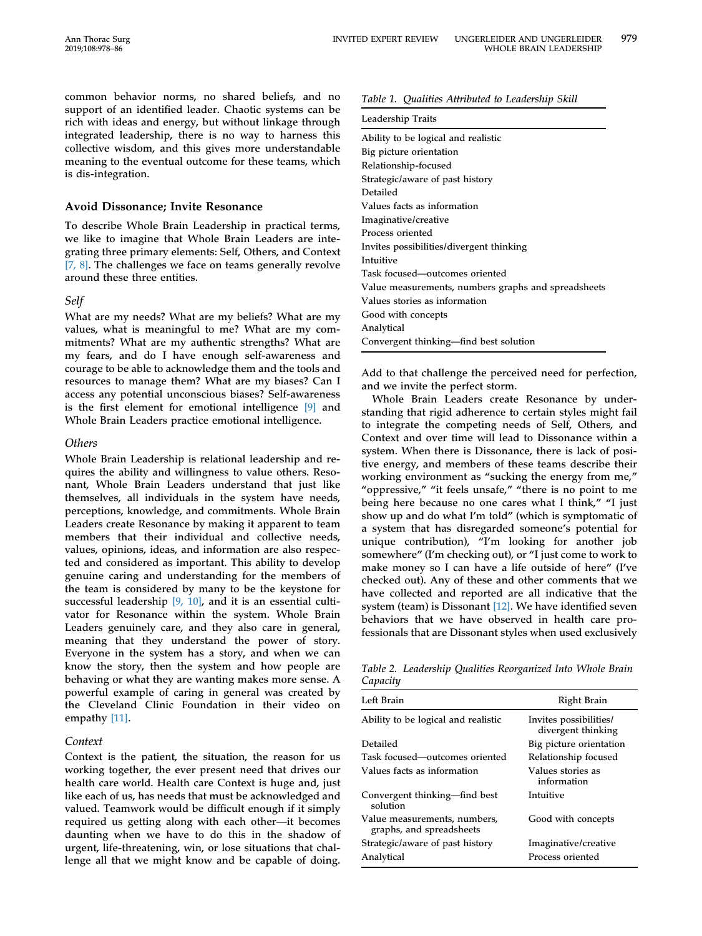<span id="page-1-0"></span>common behavior norms, no shared beliefs, and no support of an identified leader. Chaotic systems can be rich with ideas and energy, but without linkage through integrated leadership, there is no way to harness this collective wisdom, and this gives more understandable meaning to the eventual outcome for these teams, which is dis-integration.

## Avoid Dissonance; Invite Resonance

To describe Whole Brain Leadership in practical terms, we like to imagine that Whole Brain Leaders are integrating three primary elements: Self, Others, and Context [\[7, 8\].](#page-8-0) The challenges we face on teams generally revolve around these three entities.

#### Self

What are my needs? What are my beliefs? What are my values, what is meaningful to me? What are my commitments? What are my authentic strengths? What are my fears, and do I have enough self-awareness and courage to be able to acknowledge them and the tools and resources to manage them? What are my biases? Can I access any potential unconscious biases? Self-awareness is the first element for emotional intelligence [\[9\]](#page-8-0) and Whole Brain Leaders practice emotional intelligence.

#### Others

Whole Brain Leadership is relational leadership and requires the ability and willingness to value others. Resonant, Whole Brain Leaders understand that just like themselves, all individuals in the system have needs, perceptions, knowledge, and commitments. Whole Brain Leaders create Resonance by making it apparent to team members that their individual and collective needs, values, opinions, ideas, and information are also respected and considered as important. This ability to develop genuine caring and understanding for the members of the team is considered by many to be the keystone for successful leadership [\[9, 10\],](#page-8-0) and it is an essential cultivator for Resonance within the system. Whole Brain Leaders genuinely care, and they also care in general, meaning that they understand the power of story. Everyone in the system has a story, and when we can know the story, then the system and how people are behaving or what they are wanting makes more sense. A powerful example of caring in general was created by the Cleveland Clinic Foundation in their video on empathy [\[11\]](#page-8-0).

## Context

Context is the patient, the situation, the reason for us working together, the ever present need that drives our health care world. Health care Context is huge and, just like each of us, has needs that must be acknowledged and valued. Teamwork would be difficult enough if it simply required us getting along with each other—it becomes daunting when we have to do this in the shadow of urgent, life-threatening, win, or lose situations that challenge all that we might know and be capable of doing.

Table 1. Qualities Attributed to Leadership Skill

| Leadership Traits |  |
|-------------------|--|
|-------------------|--|

| Ability to be logical and realistic                 |
|-----------------------------------------------------|
| Big picture orientation                             |
| Relationship-focused                                |
| Strategic/aware of past history                     |
| Detailed                                            |
| Values facts as information                         |
| Imaginative/creative                                |
| Process oriented                                    |
| Invites possibilities/divergent thinking            |
| Intuitive                                           |
| Task focused-outcomes oriented                      |
| Value measurements, numbers graphs and spreadsheets |
| Values stories as information                       |
| Good with concepts                                  |
| Analytical                                          |
| Convergent thinking—find best solution              |
|                                                     |

Add to that challenge the perceived need for perfection, and we invite the perfect storm.

Whole Brain Leaders create Resonance by understanding that rigid adherence to certain styles might fail to integrate the competing needs of Self, Others, and Context and over time will lead to Dissonance within a system. When there is Dissonance, there is lack of positive energy, and members of these teams describe their working environment as "sucking the energy from me," "oppressive," "it feels unsafe," "there is no point to me being here because no one cares what I think," "I just show up and do what I'm told" (which is symptomatic of a system that has disregarded someone's potential for unique contribution), "I'm looking for another job somewhere" (I'm checking out), or "I just come to work to make money so I can have a life outside of here" (I've checked out). Any of these and other comments that we have collected and reported are all indicative that the system (team) is Dissonant [\[12\].](#page-8-0) We have identified seven behaviors that we have observed in health care professionals that are Dissonant styles when used exclusively

Table 2. Leadership Qualities Reorganized Into Whole Brain Capacity

| Left Brain                                               | Right Brain                                  |
|----------------------------------------------------------|----------------------------------------------|
| Ability to be logical and realistic                      | Invites possibilities/<br>divergent thinking |
| Detailed                                                 | Big picture orientation                      |
| Task focused—outcomes oriented                           | Relationship focused                         |
| Values facts as information                              | Values stories as<br>information             |
| Convergent thinking—find best<br>solution                | Intuitive                                    |
| Value measurements, numbers,<br>graphs, and spreadsheets | Good with concepts                           |
| Strategic/aware of past history                          | Imaginative/creative                         |
| Analytical                                               | Process oriented                             |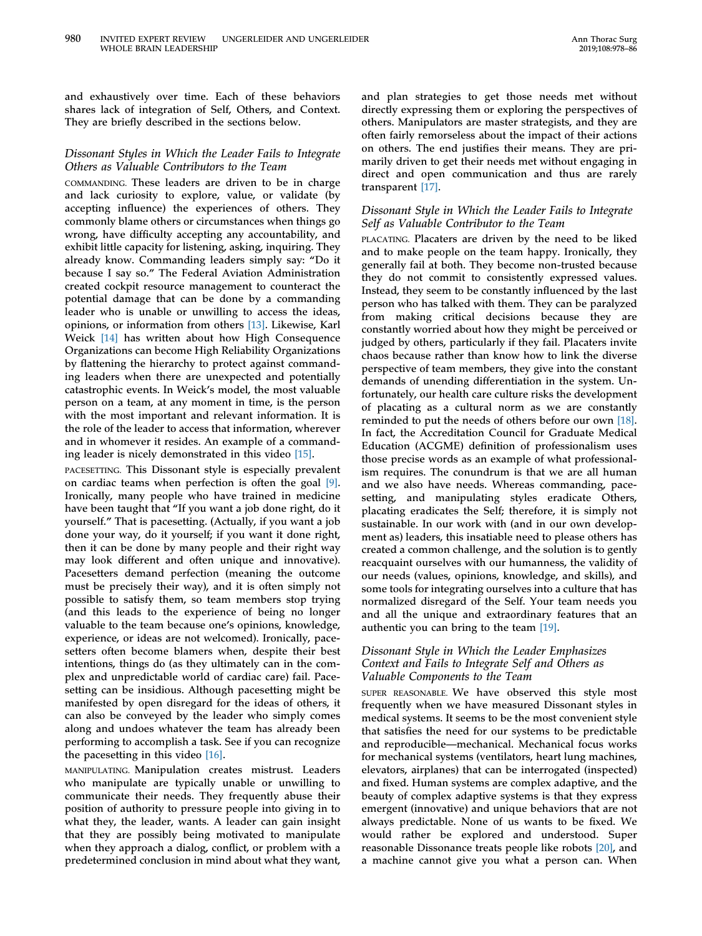and exhaustively over time. Each of these behaviors shares lack of integration of Self, Others, and Context. They are briefly described in the sections below.

# Dissonant Styles in Which the Leader Fails to Integrate Others as Valuable Contributors to the Team

COMMANDING. These leaders are driven to be in charge and lack curiosity to explore, value, or validate (by accepting influence) the experiences of others. They commonly blame others or circumstances when things go wrong, have difficulty accepting any accountability, and exhibit little capacity for listening, asking, inquiring. They already know. Commanding leaders simply say: "Do it because I say so." The Federal Aviation Administration created cockpit resource management to counteract the potential damage that can be done by a commanding leader who is unable or unwilling to access the ideas, opinions, or information from others [\[13\]](#page-8-0). Likewise, Karl Weick [\[14\]](#page-8-0) has written about how High Consequence Organizations can become High Reliability Organizations by flattening the hierarchy to protect against commanding leaders when there are unexpected and potentially catastrophic events. In Weick's model, the most valuable person on a team, at any moment in time, is the person with the most important and relevant information. It is the role of the leader to access that information, wherever and in whomever it resides. An example of a commanding leader is nicely demonstrated in this video [\[15\].](#page-8-0)

PACESETTING. This Dissonant style is especially prevalent on cardiac teams when perfection is often the goal [\[9\].](#page-8-0) Ironically, many people who have trained in medicine have been taught that "If you want a job done right, do it yourself." That is pacesetting. (Actually, if you want a job done your way, do it yourself; if you want it done right, then it can be done by many people and their right way may look different and often unique and innovative). Pacesetters demand perfection (meaning the outcome must be precisely their way), and it is often simply not possible to satisfy them, so team members stop trying (and this leads to the experience of being no longer valuable to the team because one's opinions, knowledge, experience, or ideas are not welcomed). Ironically, pacesetters often become blamers when, despite their best intentions, things do (as they ultimately can in the complex and unpredictable world of cardiac care) fail. Pacesetting can be insidious. Although pacesetting might be manifested by open disregard for the ideas of others, it can also be conveyed by the leader who simply comes along and undoes whatever the team has already been performing to accomplish a task. See if you can recognize the pacesetting in this video [\[16\].](#page-8-0)

MANIPULATING. Manipulation creates mistrust. Leaders who manipulate are typically unable or unwilling to communicate their needs. They frequently abuse their position of authority to pressure people into giving in to what they, the leader, wants. A leader can gain insight that they are possibly being motivated to manipulate when they approach a dialog, conflict, or problem with a predetermined conclusion in mind about what they want, and plan strategies to get those needs met without directly expressing them or exploring the perspectives of others. Manipulators are master strategists, and they are often fairly remorseless about the impact of their actions on others. The end justifies their means. They are primarily driven to get their needs met without engaging in direct and open communication and thus are rarely transparent [\[17\].](#page-8-0)

## Dissonant Style in Which the Leader Fails to Integrate Self as Valuable Contributor to the Team

PLACATING. Placaters are driven by the need to be liked and to make people on the team happy. Ironically, they generally fail at both. They become non-trusted because they do not commit to consistently expressed values. Instead, they seem to be constantly influenced by the last person who has talked with them. They can be paralyzed from making critical decisions because they are constantly worried about how they might be perceived or judged by others, particularly if they fail. Placaters invite chaos because rather than know how to link the diverse perspective of team members, they give into the constant demands of unending differentiation in the system. Unfortunately, our health care culture risks the development of placating as a cultural norm as we are constantly reminded to put the needs of others before our own [\[18\].](#page-8-0) In fact, the Accreditation Council for Graduate Medical Education (ACGME) definition of professionalism uses those precise words as an example of what professionalism requires. The conundrum is that we are all human and we also have needs. Whereas commanding, pacesetting, and manipulating styles eradicate Others, placating eradicates the Self; therefore, it is simply not sustainable. In our work with (and in our own development as) leaders, this insatiable need to please others has created a common challenge, and the solution is to gently reacquaint ourselves with our humanness, the validity of our needs (values, opinions, knowledge, and skills), and some tools for integrating ourselves into a culture that has normalized disregard of the Self. Your team needs you and all the unique and extraordinary features that an authentic you can bring to the team [\[19\]](#page-8-0).

## Dissonant Style in Which the Leader Emphasizes Context and Fails to Integrate Self and Others as Valuable Components to the Team

SUPER REASONABLE. We have observed this style most frequently when we have measured Dissonant styles in medical systems. It seems to be the most convenient style that satisfies the need for our systems to be predictable and reproducible—mechanical. Mechanical focus works for mechanical systems (ventilators, heart lung machines, elevators, airplanes) that can be interrogated (inspected) and fixed. Human systems are complex adaptive, and the beauty of complex adaptive systems is that they express emergent (innovative) and unique behaviors that are not always predictable. None of us wants to be fixed. We would rather be explored and understood. Super reasonable Dissonance treats people like robots [\[20\],](#page-8-0) and a machine cannot give you what a person can. When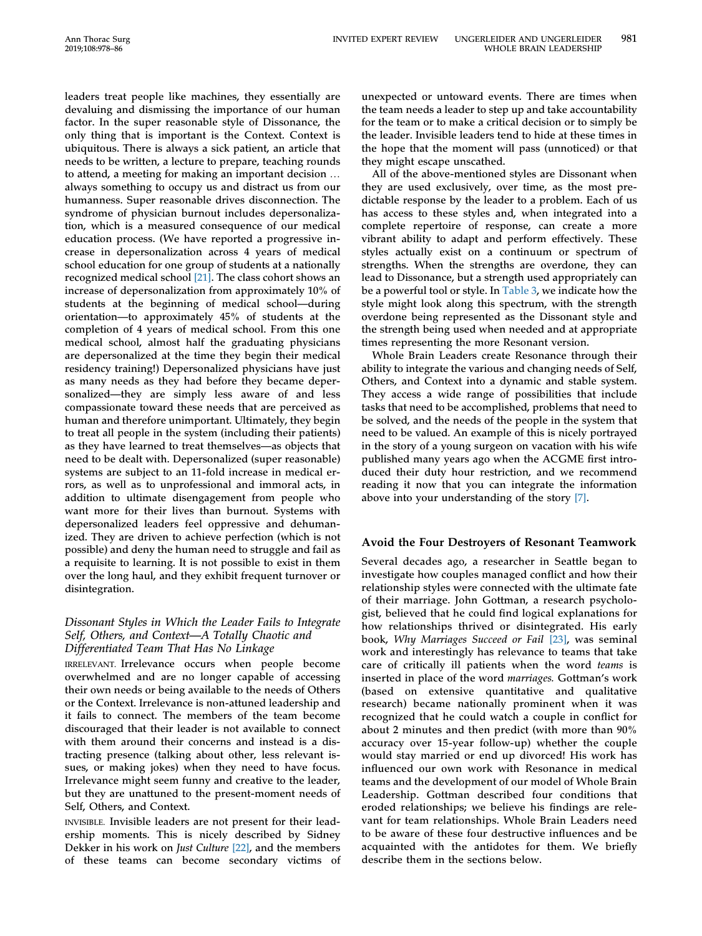leaders treat people like machines, they essentially are devaluing and dismissing the importance of our human factor. In the super reasonable style of Dissonance, the only thing that is important is the Context. Context is ubiquitous. There is always a sick patient, an article that needs to be written, a lecture to prepare, teaching rounds to attend, a meeting for making an important decision . always something to occupy us and distract us from our humanness. Super reasonable drives disconnection. The syndrome of physician burnout includes depersonalization, which is a measured consequence of our medical education process. (We have reported a progressive increase in depersonalization across 4 years of medical school education for one group of students at a nationally recognized medical school [\[21\].](#page-8-0) The class cohort shows an increase of depersonalization from approximately 10% of students at the beginning of medical school—during orientation—to approximately 45% of students at the completion of 4 years of medical school. From this one medical school, almost half the graduating physicians are depersonalized at the time they begin their medical residency training!) Depersonalized physicians have just as many needs as they had before they became depersonalized—they are simply less aware of and less compassionate toward these needs that are perceived as human and therefore unimportant. Ultimately, they begin to treat all people in the system (including their patients) as they have learned to treat themselves—as objects that need to be dealt with. Depersonalized (super reasonable) systems are subject to an 11-fold increase in medical errors, as well as to unprofessional and immoral acts, in addition to ultimate disengagement from people who want more for their lives than burnout. Systems with depersonalized leaders feel oppressive and dehumanized. They are driven to achieve perfection (which is not possible) and deny the human need to struggle and fail as a requisite to learning. It is not possible to exist in them over the long haul, and they exhibit frequent turnover or disintegration.

## Dissonant Styles in Which the Leader Fails to Integrate Self, Others, and Context—A Totally Chaotic and Differentiated Team That Has No Linkage

IRRELEVANT. Irrelevance occurs when people become overwhelmed and are no longer capable of accessing their own needs or being available to the needs of Others or the Context. Irrelevance is non-attuned leadership and it fails to connect. The members of the team become discouraged that their leader is not available to connect with them around their concerns and instead is a distracting presence (talking about other, less relevant issues, or making jokes) when they need to have focus. Irrelevance might seem funny and creative to the leader, but they are unattuned to the present-moment needs of Self, Others, and Context.

INVISIBLE. Invisible leaders are not present for their leadership moments. This is nicely described by Sidney Dekker in his work on *Just Culture* [\[22\]](#page-8-0), and the members of these teams can become secondary victims of

unexpected or untoward events. There are times when the team needs a leader to step up and take accountability for the team or to make a critical decision or to simply be the leader. Invisible leaders tend to hide at these times in the hope that the moment will pass (unnoticed) or that they might escape unscathed.

All of the above-mentioned styles are Dissonant when they are used exclusively, over time, as the most predictable response by the leader to a problem. Each of us has access to these styles and, when integrated into a complete repertoire of response, can create a more vibrant ability to adapt and perform effectively. These styles actually exist on a continuum or spectrum of strengths. When the strengths are overdone, they can lead to Dissonance, but a strength used appropriately can be a powerful tool or style. In [Table 3](#page-4-0), we indicate how the style might look along this spectrum, with the strength overdone being represented as the Dissonant style and the strength being used when needed and at appropriate times representing the more Resonant version.

Whole Brain Leaders create Resonance through their ability to integrate the various and changing needs of Self, Others, and Context into a dynamic and stable system. They access a wide range of possibilities that include tasks that need to be accomplished, problems that need to be solved, and the needs of the people in the system that need to be valued. An example of this is nicely portrayed in the story of a young surgeon on vacation with his wife published many years ago when the ACGME first introduced their duty hour restriction, and we recommend reading it now that you can integrate the information above into your understanding of the story [\[7\]](#page-8-0).

## Avoid the Four Destroyers of Resonant Teamwork

Several decades ago, a researcher in Seattle began to investigate how couples managed conflict and how their relationship styles were connected with the ultimate fate of their marriage. John Gottman, a research psychologist, believed that he could find logical explanations for how relationships thrived or disintegrated. His early book, Why Marriages Succeed or Fail [\[23\],](#page-8-0) was seminal work and interestingly has relevance to teams that take care of critically ill patients when the word teams is inserted in place of the word marriages. Gottman's work (based on extensive quantitative and qualitative research) became nationally prominent when it was recognized that he could watch a couple in conflict for about 2 minutes and then predict (with more than 90% accuracy over 15-year follow-up) whether the couple would stay married or end up divorced! His work has influenced our own work with Resonance in medical teams and the development of our model of Whole Brain Leadership. Gottman described four conditions that eroded relationships; we believe his findings are relevant for team relationships. Whole Brain Leaders need to be aware of these four destructive influences and be acquainted with the antidotes for them. We briefly describe them in the sections below.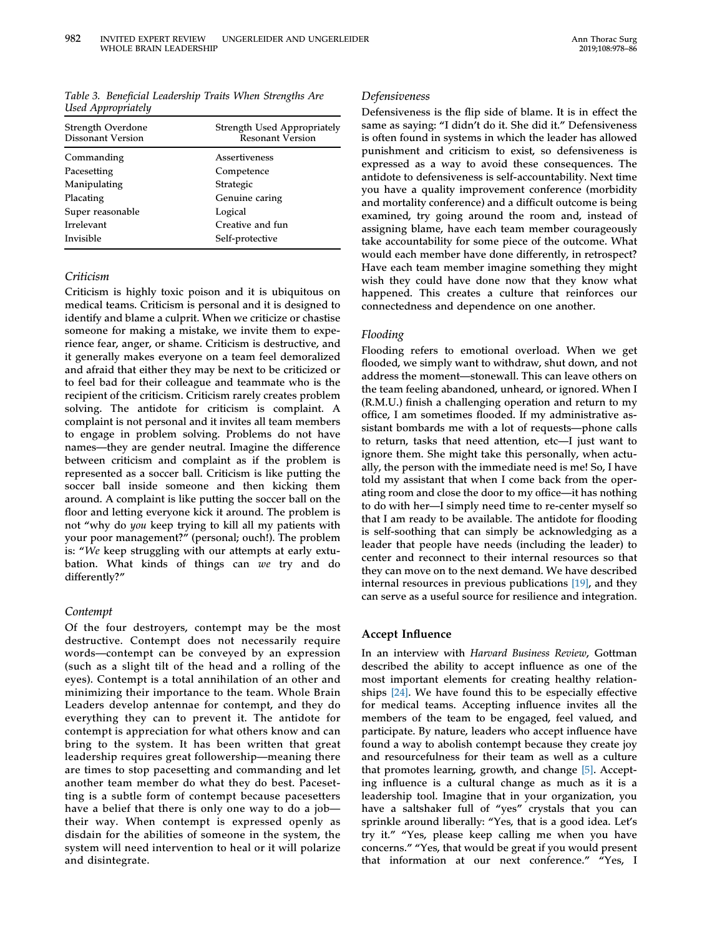<span id="page-4-0"></span>Table 3. Beneficial Leadership Traits When Strengths Are Used Appropriately

| Strength Overdone<br><b>Dissonant Version</b> | Strength Used Appropriately<br><b>Resonant Version</b> |
|-----------------------------------------------|--------------------------------------------------------|
| Commanding                                    | Assertiveness                                          |
| Pacesetting                                   | Competence                                             |
| Manipulating                                  | Strategic                                              |
| Placating                                     | Genuine caring                                         |
| Super reasonable                              | Logical                                                |
| Irrelevant                                    | Creative and fun                                       |
| Invisible                                     | Self-protective                                        |
|                                               |                                                        |

# Criticism

Criticism is highly toxic poison and it is ubiquitous on medical teams. Criticism is personal and it is designed to identify and blame a culprit. When we criticize or chastise someone for making a mistake, we invite them to experience fear, anger, or shame. Criticism is destructive, and it generally makes everyone on a team feel demoralized and afraid that either they may be next to be criticized or to feel bad for their colleague and teammate who is the recipient of the criticism. Criticism rarely creates problem solving. The antidote for criticism is complaint. A complaint is not personal and it invites all team members to engage in problem solving. Problems do not have names—they are gender neutral. Imagine the difference between criticism and complaint as if the problem is represented as a soccer ball. Criticism is like putting the soccer ball inside someone and then kicking them around. A complaint is like putting the soccer ball on the floor and letting everyone kick it around. The problem is not "why do you keep trying to kill all my patients with your poor management?" (personal; ouch!). The problem is: "We keep struggling with our attempts at early extubation. What kinds of things can we try and do differently?"

## Contempt

Of the four destroyers, contempt may be the most destructive. Contempt does not necessarily require words—contempt can be conveyed by an expression (such as a slight tilt of the head and a rolling of the eyes). Contempt is a total annihilation of an other and minimizing their importance to the team. Whole Brain Leaders develop antennae for contempt, and they do everything they can to prevent it. The antidote for contempt is appreciation for what others know and can bring to the system. It has been written that great leadership requires great followership—meaning there are times to stop pacesetting and commanding and let another team member do what they do best. Pacesetting is a subtle form of contempt because pacesetters have a belief that there is only one way to do a job their way. When contempt is expressed openly as disdain for the abilities of someone in the system, the system will need intervention to heal or it will polarize and disintegrate.

## Defensiveness

Defensiveness is the flip side of blame. It is in effect the same as saying: "I didn't do it. She did it." Defensiveness is often found in systems in which the leader has allowed punishment and criticism to exist, so defensiveness is expressed as a way to avoid these consequences. The antidote to defensiveness is self-accountability. Next time you have a quality improvement conference (morbidity and mortality conference) and a difficult outcome is being examined, try going around the room and, instead of assigning blame, have each team member courageously take accountability for some piece of the outcome. What would each member have done differently, in retrospect? Have each team member imagine something they might wish they could have done now that they know what happened. This creates a culture that reinforces our connectedness and dependence on one another.

# Flooding

Flooding refers to emotional overload. When we get flooded, we simply want to withdraw, shut down, and not address the moment—stonewall. This can leave others on the team feeling abandoned, unheard, or ignored. When I (R.M.U.) finish a challenging operation and return to my office, I am sometimes flooded. If my administrative assistant bombards me with a lot of requests—phone calls to return, tasks that need attention, etc—I just want to ignore them. She might take this personally, when actually, the person with the immediate need is me! So, I have told my assistant that when I come back from the operating room and close the door to my office—it has nothing to do with her—I simply need time to re-center myself so that I am ready to be available. The antidote for flooding is self-soothing that can simply be acknowledging as a leader that people have needs (including the leader) to center and reconnect to their internal resources so that they can move on to the next demand. We have described internal resources in previous publications [\[19\]](#page-8-0), and they can serve as a useful source for resilience and integration.

# Accept Influence

In an interview with Harvard Business Review, Gottman described the ability to accept influence as one of the most important elements for creating healthy relationships [\[24\]](#page-8-0). We have found this to be especially effective for medical teams. Accepting influence invites all the members of the team to be engaged, feel valued, and participate. By nature, leaders who accept influence have found a way to abolish contempt because they create joy and resourcefulness for their team as well as a culture that promotes learning, growth, and change [\[5\]](#page-8-0). Accepting influence is a cultural change as much as it is a leadership tool. Imagine that in your organization, you have a saltshaker full of "yes" crystals that you can sprinkle around liberally: "Yes, that is a good idea. Let's try it." "Yes, please keep calling me when you have concerns." "Yes, that would be great if you would present that information at our next conference." "Yes, I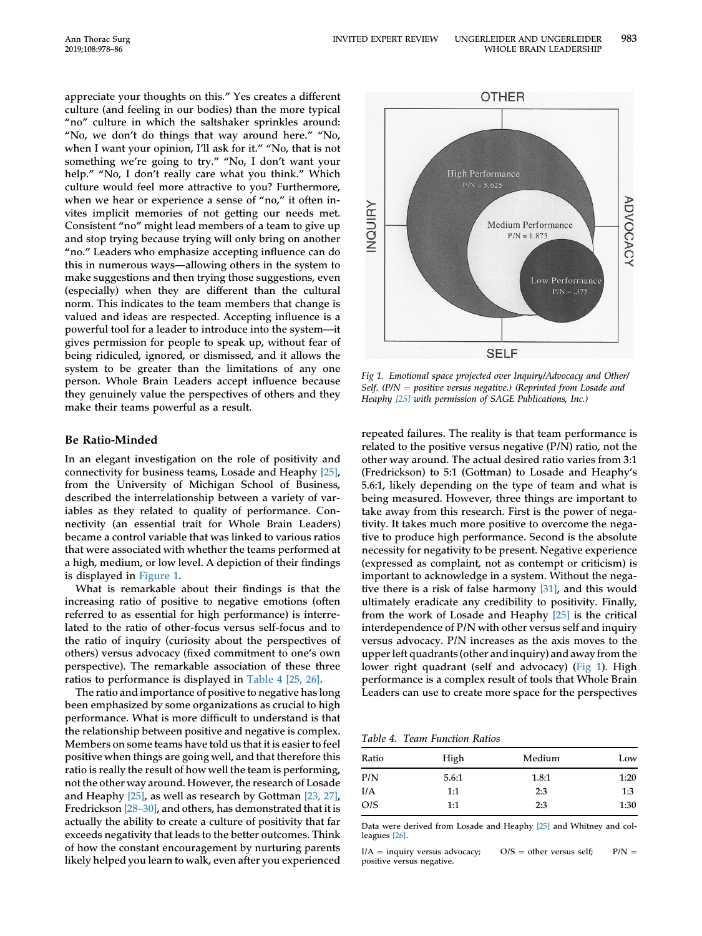appreciate your thoughts on this." Yes creates a different culture (and feeling in our bodies) than the more typical "no" culture in which the saltshaker sprinkles around: "No, we don't do things that way around here." "No, when I want your opinion, I'll ask for it." "No, that is not something we're going to try." "No, I don't want your help." "No, I don't really care what you think." Which culture would feel more attractive to you? Furthermore, when we hear or experience a sense of "no," it often invites implicit memories of not getting our needs met. Consistent "no" might lead members of a team to give up and stop trying because trying will only bring on another "no." Leaders who emphasize accepting influence can do this in numerous ways—allowing others in the system to make suggestions and then trying those suggestions, even (especially) when they are different than the cultural norm. This indicates to the team members that change is valued and ideas are respected. Accepting influence is a powerful tool for a leader to introduce into the system—it gives permission for people to speak up, without fear of being ridiculed, ignored, or dismissed, and it allows the system to be greater than the limitations of any one person. Whole Brain Leaders accept influence because they genuinely value the perspectives of others and they make their teams powerful as a result.

#### Be Ratio-Minded

In an elegant investigation on the role of positivity and connectivity for business teams, Losade and Heaphy [\[25\],](#page-8-0) from the University of Michigan School of Business, described the interrelationship between a variety of variables as they related to quality of performance. Connectivity (an essential trait for Whole Brain Leaders) became a control variable that was linked to various ratios that were associated with whether the teams performed at a high, medium, or low level. A depiction of their findings is displayed in Figure 1.

What is remarkable about their findings is that the increasing ratio of positive to negative emotions (often referred to as essential for high performance) is interrelated to the ratio of other-focus versus self-focus and to the ratio of inquiry (curiosity about the perspectives of others) versus advocacy (fixed commitment to one's own perspective). The remarkable association of these three ratios to performance is displayed in Table 4 [\[25, 26\].](#page-8-0)

The ratio and importance of positive to negative has long been emphasized by some organizations as crucial to high performance. What is more difficult to understand is that the relationship between positive and negative is complex. Members on some teams have told us that it is easier to feel positive when things are going well, and that therefore this ratio is really the result of how well the team is performing, not the other way around. However, the research of Losade and Heaphy [\[25\]](#page-8-0), as well as research by Gottman [\[23, 27\],](#page-8-0) Fredrickson [\[28](#page-8-0)–[30\],](#page-8-0) and others, has demonstrated that it is actually the ability to create a culture of positivity that far exceeds negativity that leads to the better outcomes. Think of how the constant encouragement by nurturing parents likely helped you learn to walk, even after you experienced



Fig 1. Emotional space projected over Inquiry/Advocacy and Other/ Self. (P/N  $=$  positive versus negative.) (Reprinted from Losade and Heaphy [\[25\]](#page-8-0) with permission of SAGE Publications, Inc.)

repeated failures. The reality is that team performance is related to the positive versus negative (P/N) ratio, not the other way around. The actual desired ratio varies from 3:1 (Fredrickson) to 5:1 (Gottman) to Losade and Heaphy's 5.6:1, likely depending on the type of team and what is being measured. However, three things are important to take away from this research. First is the power of negativity. It takes much more positive to overcome the negative to produce high performance. Second is the absolute necessity for negativity to be present. Negative experience (expressed as complaint, not as contempt or criticism) is important to acknowledge in a system. Without the negative there is a risk of false harmony [\[31\],](#page-8-0) and this would ultimately eradicate any credibility to positivity. Finally, from the work of Losade and Heaphy [\[25\]](#page-8-0) is the critical interdependence of P/N with other versus self and inquiry versus advocacy. P/N increases as the axis moves to the upper left quadrants (other and inquiry) and away from the lower right quadrant (self and advocacy) (Fig 1). High performance is a complex result of tools that Whole Brain Leaders can use to create more space for the perspectives

Table 4. Team Function Ratios

| Ratio | High  | Medium | Low  |
|-------|-------|--------|------|
| P/N   | 5.6:1 | 1.8:1  | 1:20 |
| I/A   | 1:1   | 2:3    | 1:3  |
| O/S   | 1:1   | 2:3    | 1:30 |

Data were derived from Losade and Heaphy [\[25\]](#page-8-0) and Whitney and colleagues [\[26\].](#page-8-0)

 $I/A =$  inquiry versus advocacy; O/S = other versus self; P/N = positive versus negative.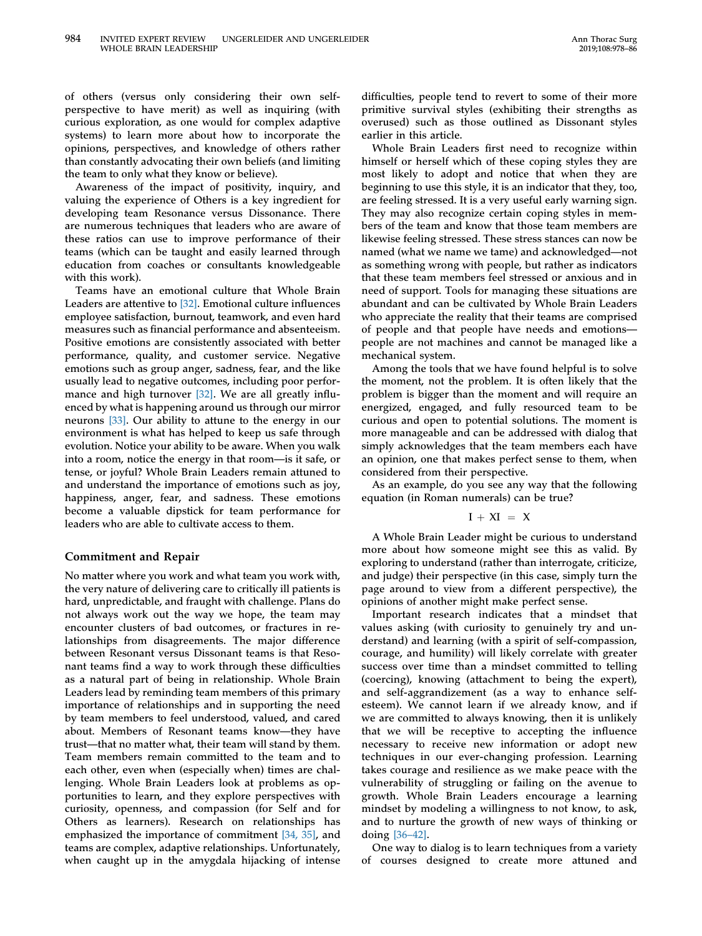of others (versus only considering their own selfperspective to have merit) as well as inquiring (with curious exploration, as one would for complex adaptive systems) to learn more about how to incorporate the opinions, perspectives, and knowledge of others rather than constantly advocating their own beliefs (and limiting the team to only what they know or believe).

Awareness of the impact of positivity, inquiry, and valuing the experience of Others is a key ingredient for developing team Resonance versus Dissonance. There are numerous techniques that leaders who are aware of these ratios can use to improve performance of their teams (which can be taught and easily learned through education from coaches or consultants knowledgeable with this work).

Teams have an emotional culture that Whole Brain Leaders are attentive to [\[32\].](#page-8-0) Emotional culture influences employee satisfaction, burnout, teamwork, and even hard measures such as financial performance and absenteeism. Positive emotions are consistently associated with better performance, quality, and customer service. Negative emotions such as group anger, sadness, fear, and the like usually lead to negative outcomes, including poor performance and high turnover [\[32\]](#page-8-0). We are all greatly influenced by what is happening around us through our mirror neurons [\[33\].](#page-8-0) Our ability to attune to the energy in our environment is what has helped to keep us safe through evolution. Notice your ability to be aware. When you walk into a room, notice the energy in that room—is it safe, or tense, or joyful? Whole Brain Leaders remain attuned to and understand the importance of emotions such as joy, happiness, anger, fear, and sadness. These emotions become a valuable dipstick for team performance for leaders who are able to cultivate access to them.

## Commitment and Repair

No matter where you work and what team you work with, the very nature of delivering care to critically ill patients is hard, unpredictable, and fraught with challenge. Plans do not always work out the way we hope, the team may encounter clusters of bad outcomes, or fractures in relationships from disagreements. The major difference between Resonant versus Dissonant teams is that Resonant teams find a way to work through these difficulties as a natural part of being in relationship. Whole Brain Leaders lead by reminding team members of this primary importance of relationships and in supporting the need by team members to feel understood, valued, and cared about. Members of Resonant teams know—they have trust—that no matter what, their team will stand by them. Team members remain committed to the team and to each other, even when (especially when) times are challenging. Whole Brain Leaders look at problems as opportunities to learn, and they explore perspectives with curiosity, openness, and compassion (for Self and for Others as learners). Research on relationships has emphasized the importance of commitment [\[34, 35\]](#page-8-0), and teams are complex, adaptive relationships. Unfortunately, when caught up in the amygdala hijacking of intense

difficulties, people tend to revert to some of their more primitive survival styles (exhibiting their strengths as overused) such as those outlined as Dissonant styles earlier in this article.

Whole Brain Leaders first need to recognize within himself or herself which of these coping styles they are most likely to adopt and notice that when they are beginning to use this style, it is an indicator that they, too, are feeling stressed. It is a very useful early warning sign. They may also recognize certain coping styles in members of the team and know that those team members are likewise feeling stressed. These stress stances can now be named (what we name we tame) and acknowledged—not as something wrong with people, but rather as indicators that these team members feel stressed or anxious and in need of support. Tools for managing these situations are abundant and can be cultivated by Whole Brain Leaders who appreciate the reality that their teams are comprised of people and that people have needs and emotions people are not machines and cannot be managed like a mechanical system.

Among the tools that we have found helpful is to solve the moment, not the problem. It is often likely that the problem is bigger than the moment and will require an energized, engaged, and fully resourced team to be curious and open to potential solutions. The moment is more manageable and can be addressed with dialog that simply acknowledges that the team members each have an opinion, one that makes perfect sense to them, when considered from their perspective.

As an example, do you see any way that the following equation (in Roman numerals) can be true?

#### $I + XI = X$

A Whole Brain Leader might be curious to understand more about how someone might see this as valid. By exploring to understand (rather than interrogate, criticize, and judge) their perspective (in this case, simply turn the page around to view from a different perspective), the opinions of another might make perfect sense.

Important research indicates that a mindset that values asking (with curiosity to genuinely try and understand) and learning (with a spirit of self-compassion, courage, and humility) will likely correlate with greater success over time than a mindset committed to telling (coercing), knowing (attachment to being the expert), and self-aggrandizement (as a way to enhance selfesteem). We cannot learn if we already know, and if we are committed to always knowing, then it is unlikely that we will be receptive to accepting the influence necessary to receive new information or adopt new techniques in our ever-changing profession. Learning takes courage and resilience as we make peace with the vulnerability of struggling or failing on the avenue to growth. Whole Brain Leaders encourage a learning mindset by modeling a willingness to not know, to ask, and to nurture the growth of new ways of thinking or doing [\[36](#page-8-0)–[42\]](#page-8-0).

One way to dialog is to learn techniques from a variety of courses designed to create more attuned and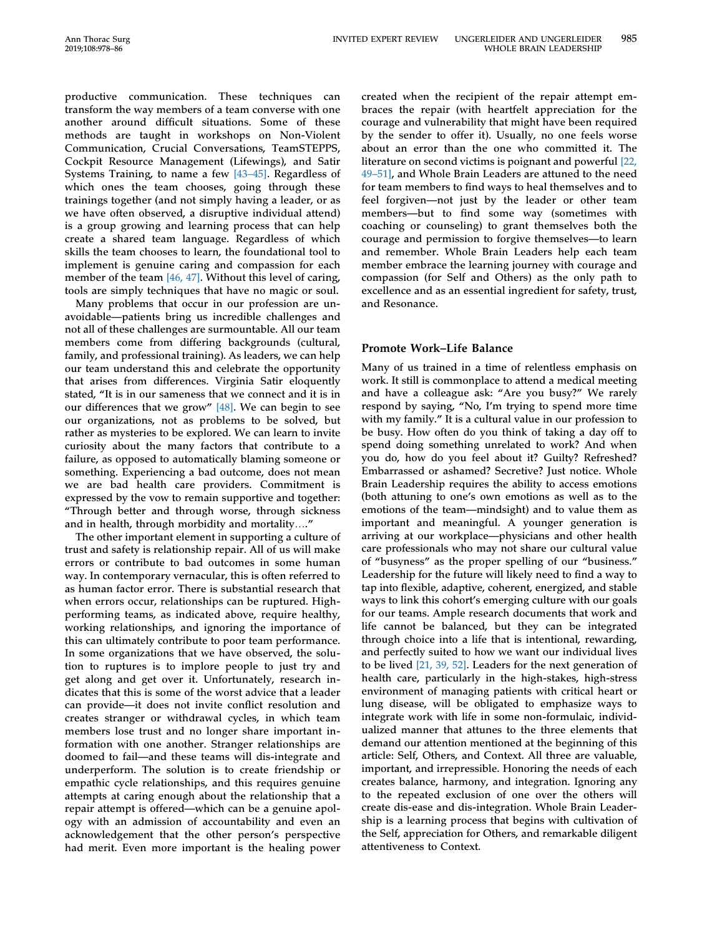productive communication. These techniques can transform the way members of a team converse with one another around difficult situations. Some of these methods are taught in workshops on Non-Violent Communication, Crucial Conversations, TeamSTEPPS, Cockpit Resource Management (Lifewings), and Satir Systems Training, to name a few [\[43](#page-8-0)–[45\]](#page-8-0). Regardless of which ones the team chooses, going through these trainings together (and not simply having a leader, or as we have often observed, a disruptive individual attend) is a group growing and learning process that can help create a shared team language. Regardless of which skills the team chooses to learn, the foundational tool to implement is genuine caring and compassion for each member of the team [\[46, 47\]](#page-8-0). Without this level of caring, tools are simply techniques that have no magic or soul.

Many problems that occur in our profession are unavoidable—patients bring us incredible challenges and not all of these challenges are surmountable. All our team members come from differing backgrounds (cultural, family, and professional training). As leaders, we can help our team understand this and celebrate the opportunity that arises from differences. Virginia Satir eloquently stated, "It is in our sameness that we connect and it is in our differences that we grow" [\[48\].](#page-8-0) We can begin to see our organizations, not as problems to be solved, but rather as mysteries to be explored. We can learn to invite curiosity about the many factors that contribute to a failure, as opposed to automatically blaming someone or something. Experiencing a bad outcome, does not mean we are bad health care providers. Commitment is expressed by the vow to remain supportive and together: "Through better and through worse, through sickness and in health, through morbidity and mortality...."

The other important element in supporting a culture of trust and safety is relationship repair. All of us will make errors or contribute to bad outcomes in some human way. In contemporary vernacular, this is often referred to as human factor error. There is substantial research that when errors occur, relationships can be ruptured. Highperforming teams, as indicated above, require healthy, working relationships, and ignoring the importance of this can ultimately contribute to poor team performance. In some organizations that we have observed, the solution to ruptures is to implore people to just try and get along and get over it. Unfortunately, research indicates that this is some of the worst advice that a leader can provide—it does not invite conflict resolution and creates stranger or withdrawal cycles, in which team members lose trust and no longer share important information with one another. Stranger relationships are doomed to fail—and these teams will dis-integrate and underperform. The solution is to create friendship or empathic cycle relationships, and this requires genuine attempts at caring enough about the relationship that a repair attempt is offered—which can be a genuine apology with an admission of accountability and even an acknowledgement that the other person's perspective had merit. Even more important is the healing power

created when the recipient of the repair attempt embraces the repair (with heartfelt appreciation for the courage and vulnerability that might have been required by the sender to offer it). Usually, no one feels worse about an error than the one who committed it. The literature on second victims is poignant and powerful [\[22,](#page-8-0) [49](#page-8-0)–[51\]](#page-8-0), and Whole Brain Leaders are attuned to the need for team members to find ways to heal themselves and to feel forgiven—not just by the leader or other team members—but to find some way (sometimes with coaching or counseling) to grant themselves both the courage and permission to forgive themselves—to learn and remember. Whole Brain Leaders help each team member embrace the learning journey with courage and compassion (for Self and Others) as the only path to excellence and as an essential ingredient for safety, trust, and Resonance.

# Promote Work–Life Balance

Many of us trained in a time of relentless emphasis on work. It still is commonplace to attend a medical meeting and have a colleague ask: "Are you busy?" We rarely respond by saying, "No, I'm trying to spend more time with my family." It is a cultural value in our profession to be busy. How often do you think of taking a day off to spend doing something unrelated to work? And when you do, how do you feel about it? Guilty? Refreshed? Embarrassed or ashamed? Secretive? Just notice. Whole Brain Leadership requires the ability to access emotions (both attuning to one's own emotions as well as to the emotions of the team—mindsight) and to value them as important and meaningful. A younger generation is arriving at our workplace—physicians and other health care professionals who may not share our cultural value of "busyness" as the proper spelling of our "business." Leadership for the future will likely need to find a way to tap into flexible, adaptive, coherent, energized, and stable ways to link this cohort's emerging culture with our goals for our teams. Ample research documents that work and life cannot be balanced, but they can be integrated through choice into a life that is intentional, rewarding, and perfectly suited to how we want our individual lives to be lived [\[21, 39, 52\].](#page-8-0) Leaders for the next generation of health care, particularly in the high-stakes, high-stress environment of managing patients with critical heart or lung disease, will be obligated to emphasize ways to integrate work with life in some non-formulaic, individualized manner that attunes to the three elements that demand our attention mentioned at the beginning of this article: Self, Others, and Context. All three are valuable, important, and irrepressible. Honoring the needs of each creates balance, harmony, and integration. Ignoring any to the repeated exclusion of one over the others will create dis-ease and dis-integration. Whole Brain Leadership is a learning process that begins with cultivation of the Self, appreciation for Others, and remarkable diligent attentiveness to Context.